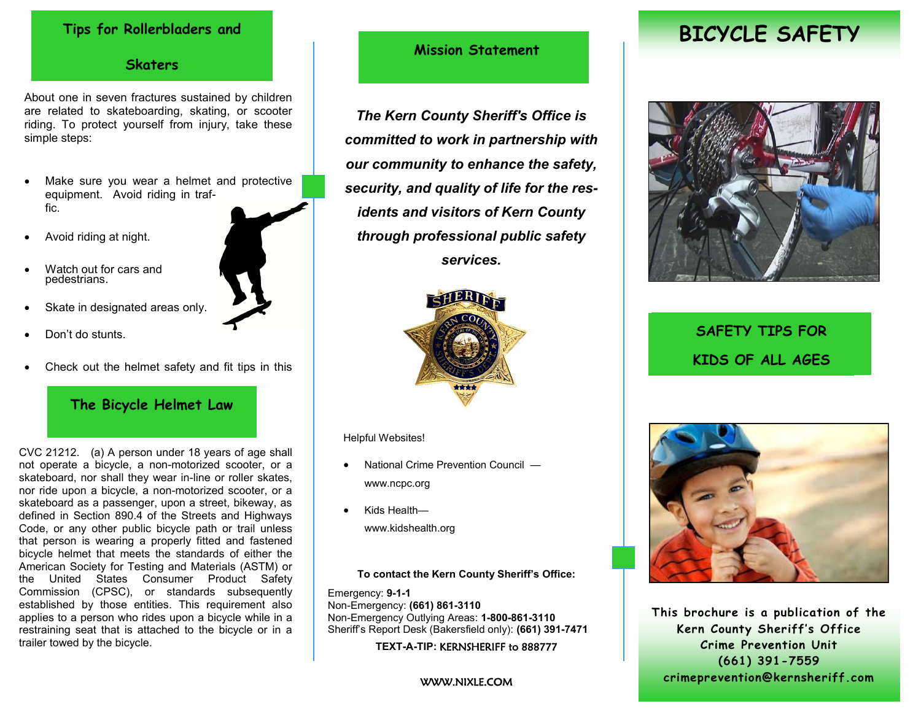#### **Tips for Rollerbladers and**

#### **Skaters**

About one in seven fractures sustained by children are related to skateboarding, skating, or scooter riding. To protect yourself from injury, take these simple steps:

- Make sure you wear a helmet and protective equipment. Avoid riding in traffic.
- Avoid riding at night.
- Watch out for cars and pedestrians.
- Skate in designated areas only.
- Don't do stunts.
- Check out the helmet safety and fit tips in this

## **The Bicycle Helmet Law**

CVC 21212. (a) A person under 18 years of age shall not operate a bicycle, a non-motorized scooter, or a skateboard, nor shall they wear in-line or roller skates, nor ride upon a bicycle, a non-motorized scooter, or a skateboard as a passenger, upon a street, bikeway, as defined in Section 890.4 of the Streets and Highways Code, or any other public bicycle path or trail unless that person is wearing a properly fitted and fastened bicycle helmet that meets the standards of either the American Society for Testing and Materials (ASTM) or the United States Consumer Product Safety Commission (CPSC), or standards subsequently established by those entities. This requirement also applies to a person who rides upon a bicycle while in a restraining seat that is attached to the bicycle or in a trailer towed by the bicycle.

## **Mission Statement**

*The Kern County Sheriff's Office is committed to work in partnership with our community to enhance the safety, security, and quality of life for the residents and visitors of Kern County through professional public safety services.*



Helpful Websites!

- National Crime Prevention Council www.ncpc.org
- Kids Health www.kidshealth.org

**To contact the Kern County Sheriff's Office:**

Emergency: **9-1-1**  Non-Emergency: **(661) 861-3110**  Non-Emergency Outlying Areas: **1-800-861-3110**  Sheriff's Report Desk (Bakersfield only): **(661) 391-7471**

**TEXT-A-TIP:** KERNSHERIFF to 888777

#### WWW.NIXLE.COM

# **BICYCLE SAFETY**



# **SAFETY TIPS FOR KIDS OF ALL AGES**



**This brochure is a publication of the Kern County Sheriff's Office Crime Prevention Unit (661) 391-7559 crimeprevention@kernsheriff.com**